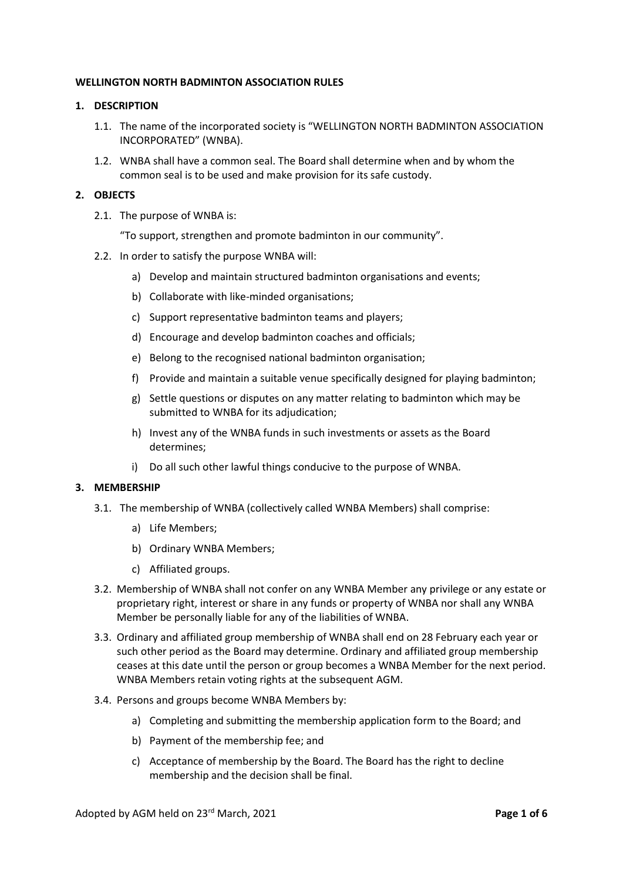## **WELLINGTON NORTH BADMINTON ASSOCIATION RULES**

## **1. DESCRIPTION**

- 1.1. The name of the incorporated society is "WELLINGTON NORTH BADMINTON ASSOCIATION INCORPORATED" (WNBA).
- 1.2. WNBA shall have a common seal. The Board shall determine when and by whom the common seal is to be used and make provision for its safe custody.

### **2. OBJECTS**

2.1. The purpose of WNBA is:

"To support, strengthen and promote badminton in our community".

- 2.2. In order to satisfy the purpose WNBA will:
	- a) Develop and maintain structured badminton organisations and events;
	- b) Collaborate with like-minded organisations;
	- c) Support representative badminton teams and players;
	- d) Encourage and develop badminton coaches and officials;
	- e) Belong to the recognised national badminton organisation;
	- f) Provide and maintain a suitable venue specifically designed for playing badminton;
	- g) Settle questions or disputes on any matter relating to badminton which may be submitted to WNBA for its adjudication;
	- h) Invest any of the WNBA funds in such investments or assets as the Board determines;
	- i) Do all such other lawful things conducive to the purpose of WNBA.

#### **3. MEMBERSHIP**

- 3.1. The membership of WNBA (collectively called WNBA Members) shall comprise:
	- a) Life Members;
	- b) Ordinary WNBA Members;
	- c) Affiliated groups.
- 3.2. Membership of WNBA shall not confer on any WNBA Member any privilege or any estate or proprietary right, interest or share in any funds or property of WNBA nor shall any WNBA Member be personally liable for any of the liabilities of WNBA.
- 3.3. Ordinary and affiliated group membership of WNBA shall end on 28 February each year or such other period as the Board may determine. Ordinary and affiliated group membership ceases at this date until the person or group becomes a WNBA Member for the next period. WNBA Members retain voting rights at the subsequent AGM.
- 3.4. Persons and groups become WNBA Members by:
	- a) Completing and submitting the membership application form to the Board; and
	- b) Payment of the membership fee; and
	- c) Acceptance of membership by the Board. The Board has the right to decline membership and the decision shall be final.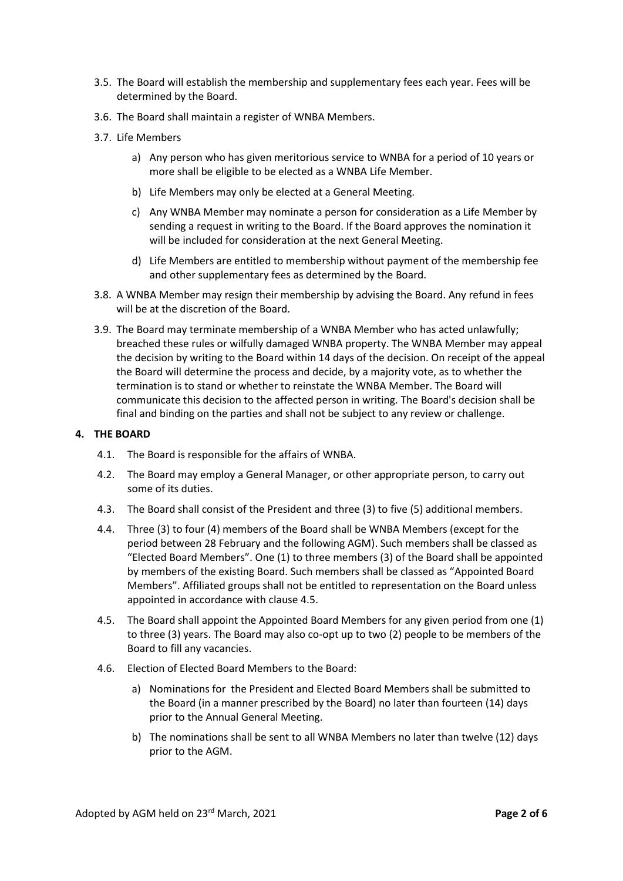- 3.5. The Board will establish the membership and supplementary fees each year. Fees will be determined by the Board.
- 3.6. The Board shall maintain a register of WNBA Members.
- 3.7. Life Members
	- a) Any person who has given meritorious service to WNBA for a period of 10 years or more shall be eligible to be elected as a WNBA Life Member.
	- b) Life Members may only be elected at a General Meeting.
	- c) Any WNBA Member may nominate a person for consideration as a Life Member by sending a request in writing to the Board. If the Board approves the nomination it will be included for consideration at the next General Meeting.
	- d) Life Members are entitled to membership without payment of the membership fee and other supplementary fees as determined by the Board.
- 3.8. A WNBA Member may resign their membership by advising the Board. Any refund in fees will be at the discretion of the Board.
- 3.9. The Board may terminate membership of a WNBA Member who has acted unlawfully; breached these rules or wilfully damaged WNBA property. The WNBA Member may appeal the decision by writing to the Board within 14 days of the decision. On receipt of the appeal the Board will determine the process and decide, by a majority vote, as to whether the termination is to stand or whether to reinstate the WNBA Member. The Board will communicate this decision to the affected person in writing. The Board's decision shall be final and binding on the parties and shall not be subject to any review or challenge.

### **4. THE BOARD**

- 4.1. The Board is responsible for the affairs of WNBA.
- 4.2. The Board may employ a General Manager, or other appropriate person, to carry out some of its duties.
- 4.3. The Board shall consist of the President and three (3) to five (5) additional members.
- 4.4. Three (3) to four (4) members of the Board shall be WNBA Members (except for the period between 28 February and the following AGM). Such members shall be classed as "Elected Board Members". One (1) to three members (3) of the Board shall be appointed by members of the existing Board. Such members shall be classed as "Appointed Board Members". Affiliated groups shall not be entitled to representation on the Board unless appointed in accordance with clause 4.5.
- 4.5. The Board shall appoint the Appointed Board Members for any given period from one (1) to three (3) years. The Board may also co-opt up to two (2) people to be members of the Board to fill any vacancies.
- 4.6. Election of Elected Board Members to the Board:
	- a) Nominations for the President and Elected Board Members shall be submitted to the Board (in a manner prescribed by the Board) no later than fourteen (14) days prior to the Annual General Meeting.
	- b) The nominations shall be sent to all WNBA Members no later than twelve (12) days prior to the AGM.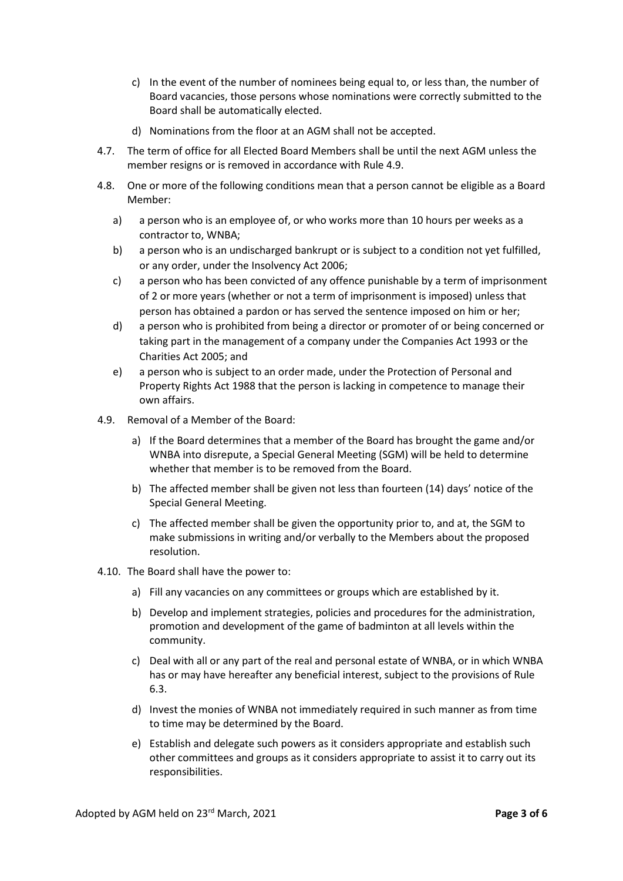- c) In the event of the number of nominees being equal to, or less than, the number of Board vacancies, those persons whose nominations were correctly submitted to the Board shall be automatically elected.
- d) Nominations from the floor at an AGM shall not be accepted.
- 4.7. The term of office for all Elected Board Members shall be until the next AGM unless the member resigns or is removed in accordance with Rule 4.9.
- 4.8. One or more of the following conditions mean that a person cannot be eligible as a Board Member:
	- a) a person who is an employee of, or who works more than 10 hours per weeks as a contractor to, WNBA;
	- b) a person who is an undischarged bankrupt or is subject to a condition not yet fulfilled, or any order, under the Insolvency Act 2006;
	- c) a person who has been convicted of any offence punishable by a term of imprisonment of 2 or more years (whether or not a term of imprisonment is imposed) unless that person has obtained a pardon or has served the sentence imposed on him or her;
	- d) a person who is prohibited from being a director or promoter of or being concerned or taking part in the management of a company under the Companies Act 1993 or the Charities Act 2005; and
	- e) a person who is subject to an order made, under the Protection of Personal and Property Rights Act 1988 that the person is lacking in competence to manage their own affairs.
- 4.9. Removal of a Member of the Board:
	- a) If the Board determines that a member of the Board has brought the game and/or WNBA into disrepute, a Special General Meeting (SGM) will be held to determine whether that member is to be removed from the Board.
	- b) The affected member shall be given not less than fourteen (14) days' notice of the Special General Meeting.
	- c) The affected member shall be given the opportunity prior to, and at, the SGM to make submissions in writing and/or verbally to the Members about the proposed resolution.
- 4.10. The Board shall have the power to:
	- a) Fill any vacancies on any committees or groups which are established by it.
	- b) Develop and implement strategies, policies and procedures for the administration, promotion and development of the game of badminton at all levels within the community.
	- c) Deal with all or any part of the real and personal estate of WNBA, or in which WNBA has or may have hereafter any beneficial interest, subject to the provisions of Rule 6.3.
	- d) Invest the monies of WNBA not immediately required in such manner as from time to time may be determined by the Board.
	- e) Establish and delegate such powers as it considers appropriate and establish such other committees and groups as it considers appropriate to assist it to carry out its responsibilities.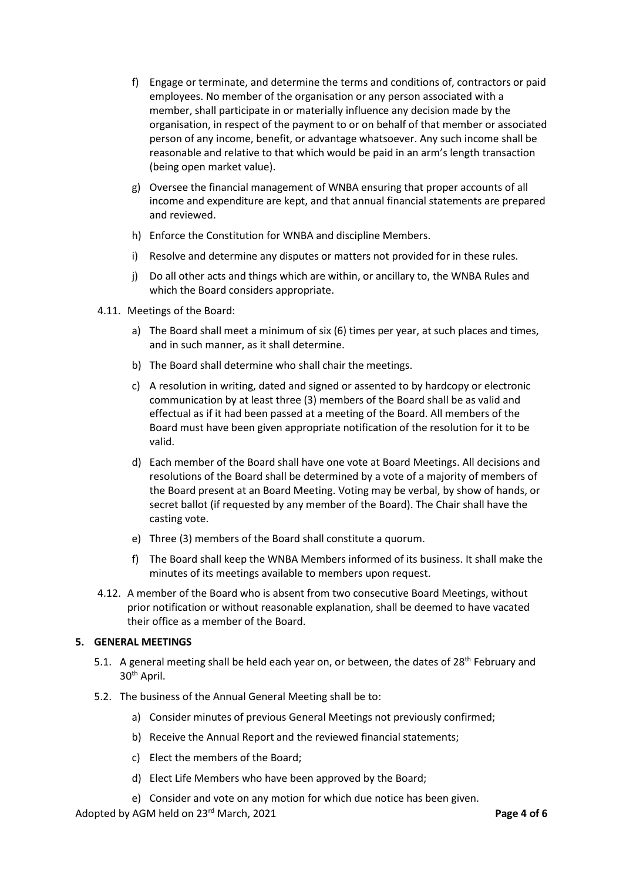- f) Engage or terminate, and determine the terms and conditions of, contractors or paid employees. No member of the organisation or any person associated with a member, shall participate in or materially influence any decision made by the organisation, in respect of the payment to or on behalf of that member or associated person of any income, benefit, or advantage whatsoever. Any such income shall be reasonable and relative to that which would be paid in an arm's length transaction (being open market value).
- g) Oversee the financial management of WNBA ensuring that proper accounts of all income and expenditure are kept, and that annual financial statements are prepared and reviewed.
- h) Enforce the Constitution for WNBA and discipline Members.
- i) Resolve and determine any disputes or matters not provided for in these rules.
- j) Do all other acts and things which are within, or ancillary to, the WNBA Rules and which the Board considers appropriate.
- 4.11. Meetings of the Board:
	- a) The Board shall meet a minimum of six (6) times per year, at such places and times, and in such manner, as it shall determine.
	- b) The Board shall determine who shall chair the meetings.
	- c) A resolution in writing, dated and signed or assented to by hardcopy or electronic communication by at least three (3) members of the Board shall be as valid and effectual as if it had been passed at a meeting of the Board. All members of the Board must have been given appropriate notification of the resolution for it to be valid.
	- d) Each member of the Board shall have one vote at Board Meetings. All decisions and resolutions of the Board shall be determined by a vote of a majority of members of the Board present at an Board Meeting. Voting may be verbal, by show of hands, or secret ballot (if requested by any member of the Board). The Chair shall have the casting vote.
	- e) Three (3) members of the Board shall constitute a quorum.
	- f) The Board shall keep the WNBA Members informed of its business. It shall make the minutes of its meetings available to members upon request.
- 4.12. A member of the Board who is absent from two consecutive Board Meetings, without prior notification or without reasonable explanation, shall be deemed to have vacated their office as a member of the Board.

# **5. GENERAL MEETINGS**

- 5.1. A general meeting shall be held each year on, or between, the dates of 28<sup>th</sup> February and 30<sup>th</sup> April.
- 5.2. The business of the Annual General Meeting shall be to:
	- a) Consider minutes of previous General Meetings not previously confirmed;
	- b) Receive the Annual Report and the reviewed financial statements;
	- c) Elect the members of the Board;
	- d) Elect Life Members who have been approved by the Board;
	- e) Consider and vote on any motion for which due notice has been given.

Adopted by AGM held on 23rd March, 2021 **Page 4 of 6**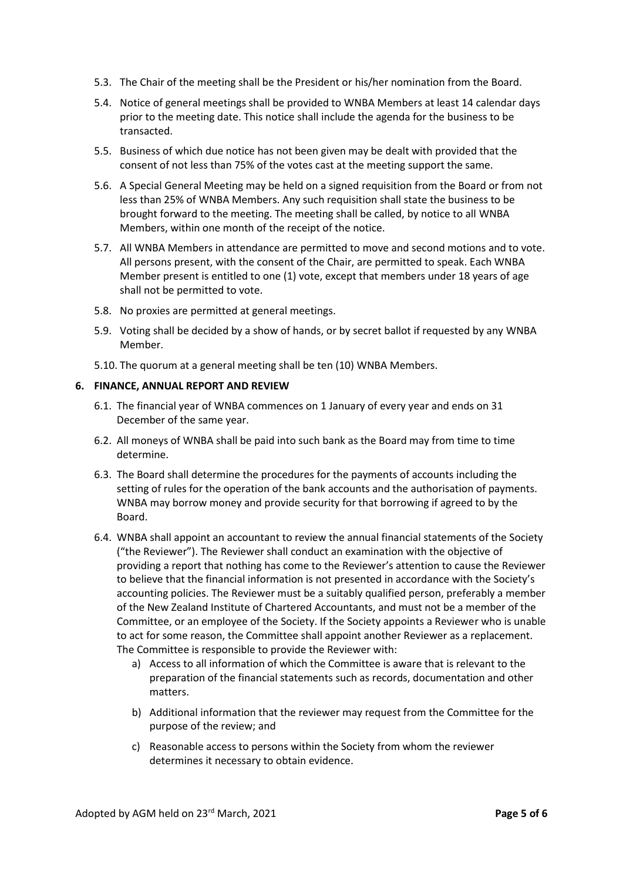- 5.3. The Chair of the meeting shall be the President or his/her nomination from the Board.
- 5.4. Notice of general meetings shall be provided to WNBA Members at least 14 calendar days prior to the meeting date. This notice shall include the agenda for the business to be transacted.
- 5.5. Business of which due notice has not been given may be dealt with provided that the consent of not less than 75% of the votes cast at the meeting support the same.
- 5.6. A Special General Meeting may be held on a signed requisition from the Board or from not less than 25% of WNBA Members. Any such requisition shall state the business to be brought forward to the meeting. The meeting shall be called, by notice to all WNBA Members, within one month of the receipt of the notice.
- 5.7. All WNBA Members in attendance are permitted to move and second motions and to vote. All persons present, with the consent of the Chair, are permitted to speak. Each WNBA Member present is entitled to one (1) vote, except that members under 18 years of age shall not be permitted to vote.
- 5.8. No proxies are permitted at general meetings.
- 5.9. Voting shall be decided by a show of hands, or by secret ballot if requested by any WNBA Member.
- 5.10. The quorum at a general meeting shall be ten (10) WNBA Members.

### **6. FINANCE, ANNUAL REPORT AND REVIEW**

- 6.1. The financial year of WNBA commences on 1 January of every year and ends on 31 December of the same year.
- 6.2. All moneys of WNBA shall be paid into such bank as the Board may from time to time determine.
- 6.3. The Board shall determine the procedures for the payments of accounts including the setting of rules for the operation of the bank accounts and the authorisation of payments. WNBA may borrow money and provide security for that borrowing if agreed to by the Board.
- 6.4. WNBA shall appoint an accountant to review the annual financial statements of the Society ("the Reviewer"). The Reviewer shall conduct an examination with the objective of providing a report that nothing has come to the Reviewer's attention to cause the Reviewer to believe that the financial information is not presented in accordance with the Society's accounting policies. The Reviewer must be a suitably qualified person, preferably a member of the New Zealand Institute of Chartered Accountants, and must not be a member of the Committee, or an employee of the Society. If the Society appoints a Reviewer who is unable to act for some reason, the Committee shall appoint another Reviewer as a replacement. The Committee is responsible to provide the Reviewer with:
	- a) Access to all information of which the Committee is aware that is relevant to the preparation of the financial statements such as records, documentation and other matters.
	- b) Additional information that the reviewer may request from the Committee for the purpose of the review; and
	- c) Reasonable access to persons within the Society from whom the reviewer determines it necessary to obtain evidence.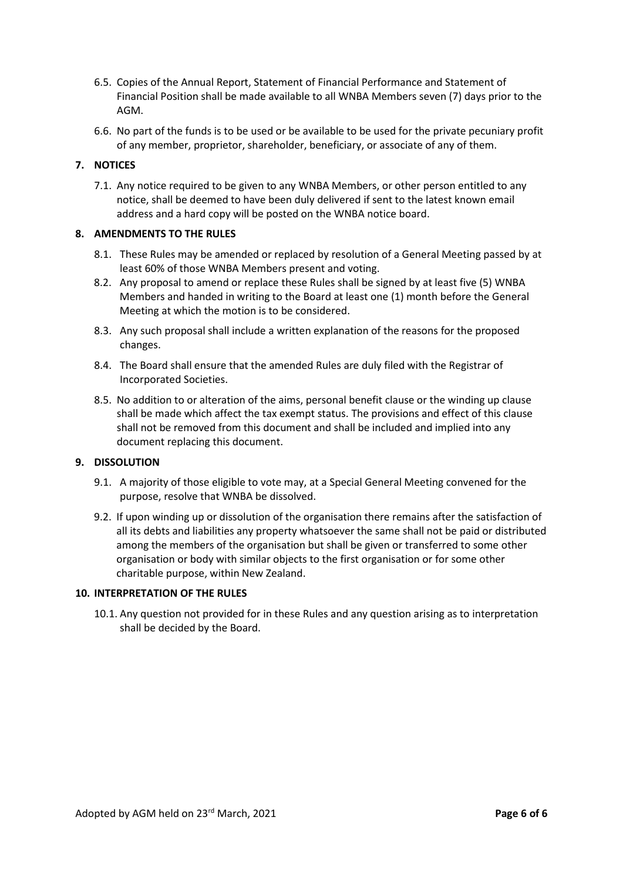- 6.5. Copies of the Annual Report, Statement of Financial Performance and Statement of Financial Position shall be made available to all WNBA Members seven (7) days prior to the AGM.
- 6.6. No part of the funds is to be used or be available to be used for the private pecuniary profit of any member, proprietor, shareholder, beneficiary, or associate of any of them.

# **7. NOTICES**

7.1. Any notice required to be given to any WNBA Members, or other person entitled to any notice, shall be deemed to have been duly delivered if sent to the latest known email address and a hard copy will be posted on the WNBA notice board.

# **8. AMENDMENTS TO THE RULES**

- 8.1. These Rules may be amended or replaced by resolution of a General Meeting passed by at least 60% of those WNBA Members present and voting.
- 8.2. Any proposal to amend or replace these Rules shall be signed by at least five (5) WNBA Members and handed in writing to the Board at least one (1) month before the General Meeting at which the motion is to be considered.
- 8.3. Any such proposal shall include a written explanation of the reasons for the proposed changes.
- 8.4. The Board shall ensure that the amended Rules are duly filed with the Registrar of Incorporated Societies.
- 8.5. No addition to or alteration of the aims, personal benefit clause or the winding up clause shall be made which affect the tax exempt status. The provisions and effect of this clause shall not be removed from this document and shall be included and implied into any document replacing this document.

# **9. DISSOLUTION**

- 9.1. A majority of those eligible to vote may, at a Special General Meeting convened for the purpose, resolve that WNBA be dissolved.
- 9.2. If upon winding up or dissolution of the organisation there remains after the satisfaction of all its debts and liabilities any property whatsoever the same shall not be paid or distributed among the members of the organisation but shall be given or transferred to some other organisation or body with similar objects to the first organisation or for some other charitable purpose, within New Zealand.

#### **10. INTERPRETATION OF THE RULES**

10.1. Any question not provided for in these Rules and any question arising as to interpretation shall be decided by the Board.